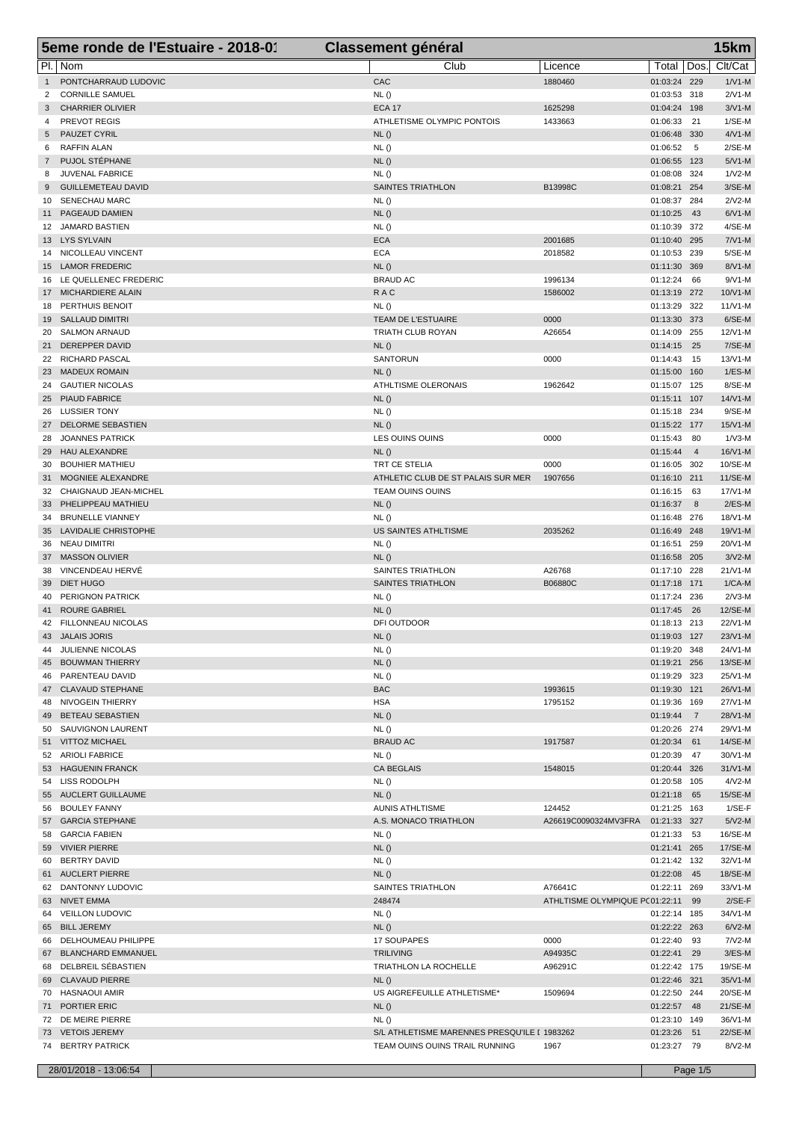|                | 5eme ronde de l'Estuaire - 2018-01             | <b>Classement général</b>                    |                                              |                              |                       | 15km                 |
|----------------|------------------------------------------------|----------------------------------------------|----------------------------------------------|------------------------------|-----------------------|----------------------|
| PI.            | Nom                                            | Club                                         | Licence                                      | Total                        | Dos.                  | Clt/Cat              |
| $\mathbf{1}$   | PONTCHARRAUD LUDOVIC                           | CAC                                          | 1880460                                      | 01:03:24 229                 |                       | $1/V1-M$             |
| 2              | <b>CORNILLE SAMUEL</b>                         | NL()                                         |                                              | 01:03:53 318                 |                       | $2/N1-M$             |
| 3              | <b>CHARRIER OLIVIER</b>                        | <b>ECA 17</b>                                | 1625298                                      | 01:04:24 198                 |                       | $3/N1-M$             |
| 4<br>5         | PREVOT REGIS<br>PAUZET CYRIL                   | ATHLETISME OLYMPIC PONTOIS<br>NL()           | 1433663                                      | 01:06:33<br>01:06:48         | 21<br>330             | $1/SE-M$<br>$4/N1-M$ |
| 6              | RAFFIN ALAN                                    | NL()                                         |                                              | 01:06:52                     | $5\phantom{.0}$       | $2/SE-M$             |
| $\overline{7}$ | PUJOL STÉPHANE                                 | NL()                                         |                                              | 01:06:55                     | 123                   | $5/N1-M$             |
| 8              | <b>JUVENAL FABRICE</b>                         | NL()                                         |                                              | 01:08:08                     | 324                   | $1/N2-M$             |
| 9              | <b>GUILLEMETEAU DAVID</b>                      | SAINTES TRIATHLON                            | B13998C                                      | 01:08:21                     | 254                   | $3/SE-M$             |
| 10<br>11       | SENECHAU MARC<br>PAGEAUD DAMIEN                | NL()<br>NL()                                 |                                              | 01:08:37<br>01:10:25         | 284<br>43             | $2/N2-M$<br>$6/N1-M$ |
| 12             | <b>JAMARD BASTIEN</b>                          | NL()                                         |                                              | 01:10:39                     | 372                   | 4/SE-M               |
|                | 13 LYS SYLVAIN                                 | <b>ECA</b>                                   | 2001685                                      | 01:10:40                     | 295                   | $7/N1-M$             |
| 14             | NICOLLEAU VINCENT                              | <b>ECA</b>                                   | 2018582                                      | 01:10:53                     | 239                   | 5/SE-M               |
| 15             | <b>LAMOR FREDERIC</b>                          | NL()                                         |                                              | 01:11:30                     | 369                   | 8/V1-M               |
| 16<br>17       | LE QUELLENEC FREDERIC<br>MICHARDIERE ALAIN     | <b>BRAUD AC</b><br><b>RAC</b>                | 1996134<br>1586002                           | 01:12:24<br>01:13:19         | 66<br>272             | $9/N1-M$<br>10/V1-M  |
| 18             | PERTHUIS BENOIT                                | NL()                                         |                                              | 01:13:29                     | 322                   | $11/N1-M$            |
| 19             | <b>SALLAUD DIMITRI</b>                         | TEAM DE L'ESTUAIRE                           | 0000                                         | 01:13:30                     | 373                   | 6/SE-M               |
| 20             | <b>SALMON ARNAUD</b>                           | TRIATH CLUB ROYAN                            | A26654                                       | 01:14:09                     | 255                   | 12/V1-M              |
| 21             | DEREPPER DAVID                                 | NL()                                         |                                              | 01:14:15                     | 25                    | 7/SE-M               |
| 22             | <b>RICHARD PASCAL</b>                          | <b>SANTORUN</b>                              | 0000                                         | 01:14:43                     | 15                    | 13/V1-M              |
| 23<br>24       | <b>MADEUX ROMAIN</b><br><b>GAUTIER NICOLAS</b> | NL()<br>ATHLTISME OLERONAIS                  | 1962642                                      | 01:15:00<br>01:15:07 125     | 160                   | $1/ES-M$<br>8/SE-M   |
| 25             | <b>PIAUD FABRICE</b>                           | NL()                                         |                                              | 01:15:11 107                 |                       | 14/V1-M              |
| 26             | <b>LUSSIER TONY</b>                            | NL()                                         |                                              | 01:15:18                     | 234                   | $9/SE-M$             |
| 27             | DELORME SEBASTIEN                              | NL()                                         |                                              | 01:15:22 177                 |                       | $15/N1$ -M           |
| 28             | <b>JOANNES PATRICK</b>                         | LES OUINS OUINS                              | 0000                                         | 01:15:43                     | 80                    | $1/N3-M$             |
| 29<br>30       | HAU ALEXANDRE<br><b>BOUHIER MATHIEU</b>        | NL()<br>TRT CE STELIA                        | 0000                                         | 01:15:44                     | $\overline{4}$<br>302 | 16/V1-M<br>10/SE-M   |
| 31             | MOGNIEE ALEXANDRE                              | ATHLETIC CLUB DE ST PALAIS SUR MER           | 1907656                                      | 01:16:05<br>01:16:10 211     |                       | 11/SE-M              |
| 32             | CHAIGNAUD JEAN-MICHEL                          | TEAM OUINS OUINS                             |                                              | 01:16:15                     | 63                    | 17/V1-M              |
| 33             | PHELIPPEAU MATHIEU                             | NL()                                         |                                              | 01:16:37                     | 8                     | $2/ES-M$             |
| 34             | <b>BRUNELLE VIANNEY</b>                        | NL()                                         |                                              | 01:16:48                     | 276                   | 18/V1-M              |
| 35             | LAVIDALIE CHRISTOPHE                           | US SAINTES ATHLTISME                         | 2035262                                      | 01:16:49                     | 248                   | 19/V1-M              |
| 36<br>37       | <b>NEAU DIMITRI</b><br><b>MASSON OLIVIER</b>   | NL()<br>NL()                                 |                                              | 01:16:51<br>01:16:58 205     | 259                   | 20/V1-M<br>$3/N2-M$  |
| 38             | VINCENDEAU HERVÉ                               | SAINTES TRIATHLON                            | A26768                                       | 01:17:10                     | 228                   | $21/N1-M$            |
| 39             | DIET HUGO                                      | SAINTES TRIATHLON                            | B06880C                                      | 01:17:18                     | 171                   | $1/CA-M$             |
| 40             | PERIGNON PATRICK                               | NL()                                         |                                              | 01:17:24 236                 |                       | $2/N3-M$             |
| 41             | <b>ROURE GABRIEL</b>                           | NL()                                         |                                              | 01:17:45                     | 26                    | 12/SE-M              |
|                | 42 FILLONNEAU NICOLAS<br>43 JALAIS JORIS       | DFI OUTDOOR<br>NL()                          |                                              | 01:18:13 213<br>01:19:03 127 |                       | 22/V1-M<br>23/V1-M   |
|                | 44 JULIENNE NICOLAS                            | NL()                                         |                                              | 01:19:20 348                 |                       | 24/V1-M              |
|                | 45 BOUWMAN THIERRY                             | NL()                                         |                                              | 01:19:21 256                 |                       | 13/SE-M              |
|                | 46 PARENTEAU DAVID                             | NL()                                         |                                              | 01:19:29 323                 |                       | 25/V1-M              |
|                | 47 CLAVAUD STEPHANE                            | <b>BAC</b>                                   | 1993615                                      | 01:19:30 121                 |                       | 26/V1-M              |
|                | 48 NIVOGEIN THIERRY<br>BETEAU SEBASTIEN        | <b>HSA</b><br>NL()                           | 1795152                                      | 01:19:36 169<br>01:19:44 7   |                       | 27/V1-M<br>28/V1-M   |
| 49             | 50 SAUVIGNON LAURENT                           | NL()                                         |                                              | 01:20:26 274                 |                       | 29/V1-M              |
|                | 51 VITTOZ MICHAEL                              | <b>BRAUD AC</b>                              | 1917587                                      | 01:20:34 61                  |                       | 14/SE-M              |
|                | 52 ARIOLI FABRICE                              | NL()                                         |                                              | 01:20:39 47                  |                       | 30/V1-M              |
|                | 53 HAGUENIN FRANCK                             | <b>CA BEGLAIS</b>                            | 1548015                                      | 01:20:44 326                 |                       | $31/V1-M$            |
|                | 54 LISS RODOLPH<br>55 AUCLERT GUILLAUME        | NL()                                         |                                              | 01:20:58 105                 |                       | $4/N2-M$             |
|                | 56 BOULEY FANNY                                | NL()<br><b>AUNIS ATHLTISME</b>               | 124452                                       | 01:21:18 65<br>01:21:25 163  |                       | 15/SE-M<br>$1/SE-F$  |
|                | 57 GARCIA STEPHANE                             | A.S. MONACO TRIATHLON                        | A26619C0090324MV3FRA                         | 01:21:33 327                 |                       | $5/N2-M$             |
|                | 58 GARCIA FABIEN                               | NL()                                         |                                              | 01:21:33 53                  |                       | 16/SE-M              |
|                | 59 VIVIER PIERRE                               | NL()                                         |                                              | 01:21:41 265                 |                       | 17/SE-M              |
|                | 60 BERTRY DAVID                                | NL()                                         |                                              | 01:21:42 132                 |                       | 32/V1-M              |
|                | 61 AUCLERT PIERRE                              | NL()                                         |                                              | 01:22:08 45                  |                       | 18/SE-M              |
| 62             | DANTONNY LUDOVIC<br>63 NIVET EMMA              | SAINTES TRIATHLON<br>248474                  | A76641C<br>ATHLTISME OLYMPIQUE P(01:22:11 99 | 01:22:11 269                 |                       | 33/V1-M<br>$2/SE-F$  |
|                | 64 VEILLON LUDOVIC                             | <b>NL()</b>                                  |                                              | 01:22:14 185                 |                       | 34/V1-M              |
|                | 65 BILL JEREMY                                 | NL()                                         |                                              | 01:22:22 263                 |                       | $6/N2-M$             |
|                | 66 DELHOUMEAU PHILIPPE                         | 17 SOUPAPES                                  | 0000                                         | 01:22:40 93                  |                       | $7N2-M$              |
| 67             | <b>BLANCHARD EMMANUEL</b>                      | <b>TRILIVING</b>                             | A94935C                                      | 01:22:41 29                  |                       | $3/ES-M$             |
|                | 68 DELBREIL SÉBASTIEN<br>69 CLAVAUD PIERRE     | TRIATHLON LA ROCHELLE<br>NL()                | A96291C                                      | 01:22:42 175<br>01:22:46 321 |                       | 19/SE-M<br>35/V1-M   |
|                | 70 HASNAOUI AMIR                               | US AIGREFEUILLE ATHLETISME*                  | 1509694                                      | 01:22:50 244                 |                       | 20/SE-M              |
|                | 71 PORTIER ERIC                                | NL()                                         |                                              | 01:22:57 48                  |                       | $21/SE-M$            |
|                | 72 DE MEIRE PIERRE                             | NL()                                         |                                              | 01:23:10 149                 |                       | 36/V1-M              |
|                | 73 VETOIS JEREMY                               | S/L ATHLETISME MARENNES PRESQU'ILE I 1983262 |                                              | 01:23:26 51                  |                       | 22/SE-M              |
|                | 74 BERTRY PATRICK                              | TEAM OUINS OUINS TRAIL RUNNING               | 1967                                         | 01:23:27 79                  |                       | 8/V2-M               |
|                | 28/01/2018 - 13:06:54                          |                                              |                                              |                              | Page 1/5              |                      |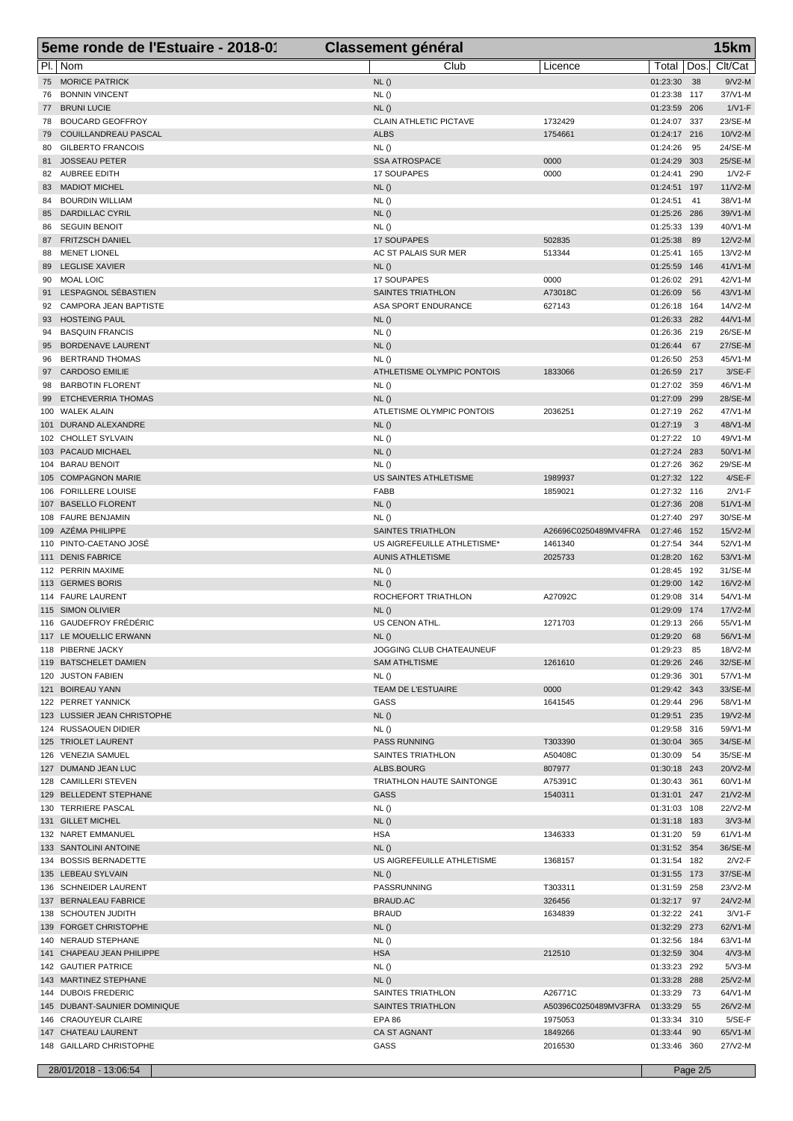|            | 5eme ronde de l'Estuaire - 2018-01                   | <b>Classement général</b>                    |                                 |                              |            | 15km                 |
|------------|------------------------------------------------------|----------------------------------------------|---------------------------------|------------------------------|------------|----------------------|
|            | Pl.   Nom                                            | Club                                         | Licence                         | Total                        | Dos.       | Clt/Cat              |
| 75         | <b>MORICE PATRICK</b>                                | NL()                                         |                                 | 01:23:30                     | 38         | $9/N2-M$             |
| 76         | <b>BONNIN VINCENT</b>                                | NL()                                         |                                 | 01:23:38                     | 117        | 37/V1-M              |
| 77         | <b>BRUNI LUCIE</b>                                   | NL()                                         |                                 | 01:23:59                     | 206        | $1/V1-F$             |
| 78<br>79   | <b>BOUCARD GEOFFROY</b><br>COUILLANDREAU PASCAL      | <b>CLAIN ATHLETIC PICTAVE</b><br><b>ALBS</b> | 1732429<br>1754661              | 01:24:07<br>01:24:17 216     | 337        | 23/SE-M<br>10/V2-M   |
| 80         | <b>GILBERTO FRANCOIS</b>                             | NL()                                         |                                 | 01:24:26                     | 95         | 24/SE-M              |
| 81         | <b>JOSSEAU PETER</b>                                 | <b>SSA ATROSPACE</b>                         | 0000                            | 01:24:29                     | 303        | 25/SE-M              |
| 82         | <b>AUBREE EDITH</b>                                  | 17 SOUPAPES                                  | 0000                            | 01:24:41                     | 290        | $1/V2-F$             |
| 83         | <b>MADIOT MICHEL</b>                                 | NL()                                         |                                 | 01:24:51                     | 197        | $11/N2-M$            |
| 84         | <b>BOURDIN WILLIAM</b>                               | NL()                                         |                                 | 01:24:51                     | 41         | 38/V1-M              |
| 85<br>86   | <b>DARDILLAC CYRIL</b><br><b>SEGUIN BENOIT</b>       | NL()<br>NL()                                 |                                 | 01:25:26<br>01:25:33         | 286<br>139 | 39/V1-M<br>40/V1-M   |
| 87         | <b>FRITZSCH DANIEL</b>                               | 17 SOUPAPES                                  | 502835                          | 01:25:38                     | 89         | 12/V2-M              |
| 88         | <b>MENET LIONEL</b>                                  | AC ST PALAIS SUR MER                         | 513344                          | 01:25:41                     | 165        | 13/V2-M              |
| 89         | <b>LEGLISE XAVIER</b>                                | NL()                                         |                                 | 01:25:59                     | 146        | $41/N1-M$            |
| 90         | <b>MOAL LOIC</b>                                     | 17 SOUPAPES                                  | 0000                            | 01:26:02                     | 291        | 42/V1-M              |
| 91         | LESPAGNOL SÉBASTIEN                                  | SAINTES TRIATHLON                            | A73018C                         | 01:26:09                     | 56         | 43/V1-M              |
| 92         | <b>CAMPORA JEAN BAPTISTE</b>                         | ASA SPORT ENDURANCE                          | 627143                          | 01:26:18<br>01:26:33         | 164        | 14/V2-M<br>44/V1-M   |
| 93<br>94   | <b>HOSTEING PAUL</b><br><b>BASQUIN FRANCIS</b>       | NL()<br>NL()                                 |                                 | 01:26:36                     | 282<br>219 | 26/SE-M              |
| 95         | <b>BORDENAVE LAURENT</b>                             | NL()                                         |                                 | 01:26:44                     | 67         | 27/SE-M              |
| 96         | <b>BERTRAND THOMAS</b>                               | NL()                                         |                                 | 01:26:50                     | 253        | 45/V1-M              |
| 97         | <b>CARDOSO EMILIE</b>                                | ATHLETISME OLYMPIC PONTOIS                   | 1833066                         | 01:26:59                     | 217        | $3/SE-F$             |
| 98         | <b>BARBOTIN FLORENT</b>                              | NL()                                         |                                 | 01:27:02                     | 359        | 46/V1-M              |
| 99         | <b>ETCHEVERRIA THOMAS</b>                            | NL()                                         |                                 | 01:27:09                     | 299        | 28/SE-M              |
| 100<br>101 | <b>WALEK ALAIN</b><br>DURAND ALEXANDRE               | ATLETISME OLYMPIC PONTOIS<br>NL()            | 2036251                         | 01:27:19<br>01:27:19         | 262<br>3   | 47/V1-M<br>48/V1-M   |
| 102        | <b>CHOLLET SYLVAIN</b>                               | NL()                                         |                                 | 01:27:22                     | - 10       | 49/V1-M              |
| 103        | PACAUD MICHAEL                                       | NL()                                         |                                 | 01:27:24                     | 283        | 50/V1-M              |
| 104        | <b>BARAU BENOIT</b>                                  | NL()                                         |                                 | 01:27:26                     | 362        | 29/SE-M              |
|            | 105 COMPAGNON MARIE                                  | US SAINTES ATHLETISME                        | 1989937                         | 01:27:32                     | 122        | $4/SE-F$             |
| 106        | <b>FORILLERE LOUISE</b>                              | FABB                                         | 1859021                         | 01:27:32 116                 |            | $2/V1-F$             |
| 107        | <b>BASELLO FLORENT</b><br>108 FAURE BENJAMIN         | NL()                                         |                                 | 01:27:36                     | 208<br>297 | 51/V1-M<br>30/SE-M   |
| 109        | AZÉMA PHILIPPE                                       | NL()<br><b>SAINTES TRIATHLON</b>             | A26696C0250489MV4FRA            | 01:27:40<br>01:27:46         | 152        | $15/N2-M$            |
| 110        | PINTO-CAETANO JOSÉ                                   | US AIGREFEUILLE ATHLETISME*                  | 1461340                         | 01:27:54                     | 344        | 52/V1-M              |
| 111        | <b>DENIS FABRICE</b>                                 | <b>AUNIS ATHLETISME</b>                      | 2025733                         | 01:28:20                     | 162        | 53/V1-M              |
|            | 112 PERRIN MAXIME                                    | NL()                                         |                                 | 01:28:45                     | 192        | 31/SE-M              |
|            | 113 GERMES BORIS                                     | NL()                                         |                                 | 01:29:00                     | 142        | 16/V2-M              |
|            | 114 FAURE LAURENT                                    | ROCHEFORT TRIATHLON                          | A27092C                         | 01:29:08                     | 314        | 54/V1-M              |
|            | 115 SIMON OLIVIER<br>116 GAUDEFROY FRÉDÉRIC          | NL()<br>US CENON ATHL.                       | 1271703                         | 01:29:09<br>01:29:13 266     | 174        | $17/N2-M$<br>55/V1-M |
|            | 117 LE MOUELLIC ERWANN                               | NL ()                                        |                                 | 01:29:20 68                  |            | 56/V1-M              |
|            | 118 PIBERNE JACKY                                    | JOGGING CLUB CHATEAUNEUF                     |                                 | 01:29:23 85                  |            | 18/V2-M              |
|            | 119 BATSCHELET DAMIEN                                | <b>SAM ATHLTISME</b>                         | 1261610                         | 01:29:26 246                 |            | 32/SE-M              |
|            | 120 JUSTON FABIEN                                    | NL()                                         |                                 | 01:29:36 301                 |            | 57/V1-M              |
|            | 121 BOIREAU YANN                                     | TEAM DE L'ESTUAIRE                           | 0000                            | 01:29:42 343                 |            | 33/SE-M              |
|            | 122 PERRET YANNICK<br>123 LUSSIER JEAN CHRISTOPHE    | GASS<br>NL()                                 | 1641545                         | 01:29:44 296<br>01:29:51 235 |            | 58/V1-M<br>19/V2-M   |
|            | 124 RUSSAOUEN DIDIER                                 | <b>NL()</b>                                  |                                 | 01:29:58 316                 |            | 59/V1-M              |
|            | 125 TRIOLET LAURENT                                  | PASS RUNNING                                 | T303390                         | 01:30:04 365                 |            | 34/SE-M              |
|            | 126 VENEZIA SAMUEL                                   | SAINTES TRIATHLON                            | A50408C                         | 01:30:09 54                  |            | 35/SE-M              |
|            | 127 DUMAND JEAN LUC                                  | ALBS.BOURG                                   | 807977                          | 01:30:18 243                 |            | 20/V2-M              |
|            | 128 CAMILLERI STEVEN                                 | TRIATHLON HAUTE SAINTONGE                    | A75391C                         | 01:30:43 361                 |            | 60/V1-M              |
|            | 129 BELLEDENT STEPHANE<br>130 TERRIERE PASCAL        | <b>GASS</b><br>NL()                          | 1540311                         | 01:31:01 247                 |            | $21/N2-M$<br>22/V2-M |
|            | 131 GILLET MICHEL                                    | NL()                                         |                                 | 01:31:03 108<br>01:31:18 183 |            | $3/N3-M$             |
|            | 132 NARET EMMANUEL                                   | <b>HSA</b>                                   | 1346333                         | 01:31:20 59                  |            | 61/V1-M              |
|            | 133 SANTOLINI ANTOINE                                | NL()                                         |                                 | 01:31:52 354                 |            | 36/SE-M              |
|            | 134 BOSSIS BERNADETTE                                | US AIGREFEUILLE ATHLETISME                   | 1368157                         | 01:31:54 182                 |            | $2/V2-F$             |
|            | 135 LEBEAU SYLVAIN                                   | NL()                                         |                                 | 01:31:55 173                 |            | 37/SE-M              |
|            | 136 SCHNEIDER LAURENT                                | PASSRUNNING                                  | T303311                         | 01:31:59 258                 |            | 23/V2-M              |
|            | 137 BERNALEAU FABRICE<br>138 SCHOUTEN JUDITH         | BRAUD.AC<br><b>BRAUD</b>                     | 326456<br>1634839               | 01:32:17 97<br>01:32:22 241  |            | 24/V2-M<br>$3/V1-F$  |
|            | 139 FORGET CHRISTOPHE                                | NL()                                         |                                 | 01:32:29 273                 |            | 62/V1-M              |
|            | 140 NERAUD STEPHANE                                  | NL()                                         |                                 | 01:32:56 184                 |            | 63/V1-M              |
|            | 141 CHAPEAU JEAN PHILIPPE                            | <b>HSA</b>                                   | 212510                          | 01:32:59 304                 |            | $4/N3-M$             |
|            | 142 GAUTIER PATRICE                                  | NL()                                         |                                 | 01:33:23 292                 |            | $5/N3-M$             |
|            | 143 MARTINEZ STEPHANE                                | NL()                                         |                                 | 01:33:28                     | 288        | 25/V2-M              |
|            | 144 DUBOIS FREDERIC                                  | SAINTES TRIATHLON                            | A26771C                         | 01:33:29                     | 73<br>55   | 64/V1-M              |
|            | 145 DUBANT-SAUNIER DOMINIQUE<br>146 CRAOUYEUR CLAIRE | SAINTES TRIATHLON<br><b>EPA 86</b>           | A50396C0250489MV3FRA<br>1975053 | 01:33:29<br>01:33:34 310     |            | 26/V2-M<br>$5/SE-F$  |
|            | 147 CHATEAU LAURENT                                  | CA ST AGNANT                                 | 1849266                         | 01:33:44 90                  |            | 65/V1-M              |
|            | 148 GAILLARD CHRISTOPHE                              | GASS                                         | 2016530                         | 01:33:46 360                 |            | 27/V2-M              |
|            |                                                      |                                              |                                 |                              |            |                      |
|            | 28/01/2018 - 13:06:54                                |                                              |                                 |                              | Page 2/5   |                      |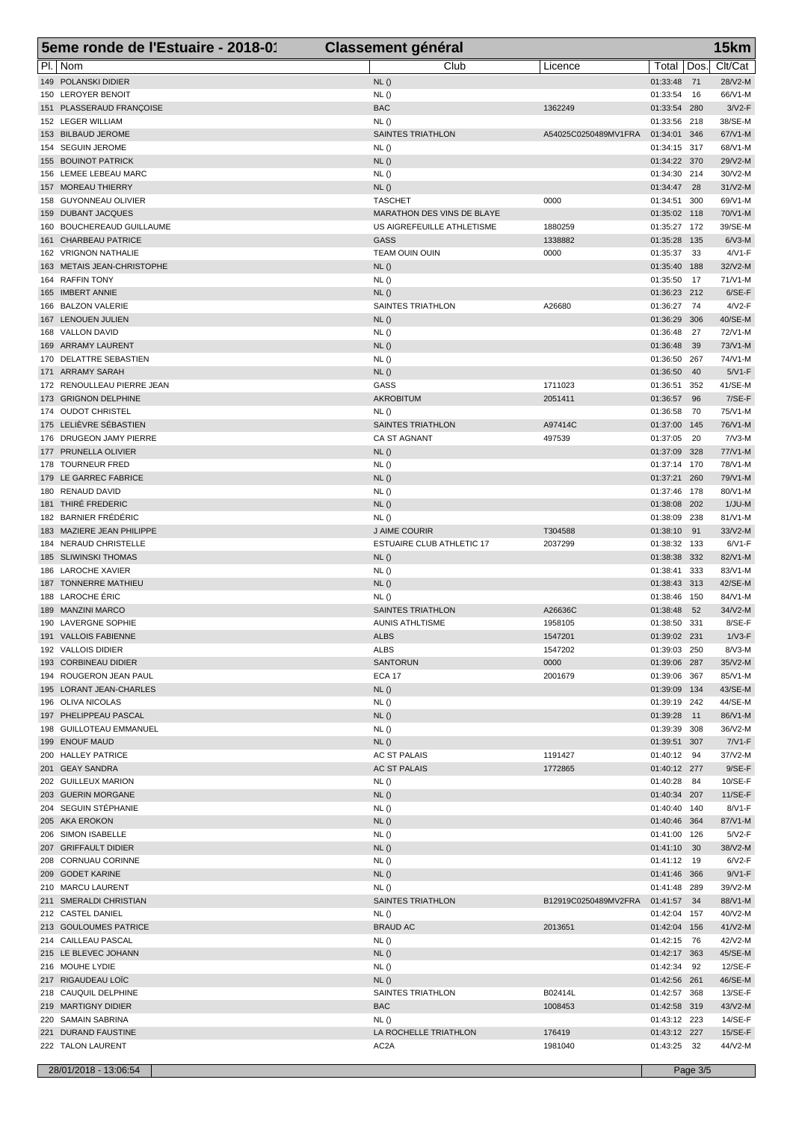|     | 5eme ronde de l'Estuaire - 2018-01                | <b>Classement général</b>                  |                      |                              |           | 15km                  |
|-----|---------------------------------------------------|--------------------------------------------|----------------------|------------------------------|-----------|-----------------------|
|     | PI.   Nom                                         | Club                                       | Licence              | Total                        | Dos.      | Clt/Cat               |
|     | 149 POLANSKI DIDIER                               | NL()                                       |                      | 01:33:48                     | 71        | 28/V2-M               |
|     | 150 LEROYER BENOIT                                | NL()                                       |                      | 01:33:54                     | 16        | 66/V1-M               |
|     | 151 PLASSERAUD FRANÇOISE                          | <b>BAC</b>                                 | 1362249              | 01:33:54 280                 |           | $3/N2-F$              |
|     | 152 LEGER WILLIAM                                 | NL()                                       |                      | 01:33:56 218                 |           | 38/SE-M               |
|     | 153 BILBAUD JEROME                                | <b>SAINTES TRIATHLON</b>                   | A54025C0250489MV1FRA | 01:34:01 346                 |           | 67/V1-M               |
|     | 154 SEGUIN JEROME                                 | NL()                                       |                      | 01:34:15 317                 |           | 68/V1-M               |
|     | 155 BOUINOT PATRICK                               | NL()                                       |                      | 01:34:22 370                 |           | 29/V2-M<br>30/V2-M    |
|     | 156 LEMEE LEBEAU MARC<br>157 MOREAU THIERRY       | NL()<br>NL()                               |                      | 01:34:30 214<br>01:34:47     | 28        | $31/N2-M$             |
|     | 158 GUYONNEAU OLIVIER                             | <b>TASCHET</b>                             | 0000                 | 01:34:51 300                 |           | 69/V1-M               |
| 159 | <b>DUBANT JACQUES</b>                             | <b>MARATHON DES VINS DE BLAYE</b>          |                      | 01:35:02 118                 |           | 70/V1-M               |
| 160 | <b>BOUCHEREAUD GUILLAUME</b>                      | US AIGREFEUILLE ATHLETISME                 | 1880259              | 01:35:27 172                 |           | 39/SE-M               |
|     | 161 CHARBEAU PATRICE                              | <b>GASS</b>                                | 1338882              | 01:35:28                     | 135       | $6/N3-M$              |
|     | 162 VRIGNON NATHALIE                              | TEAM OUIN OUIN                             | 0000                 | 01:35:37                     | 33        | $4/VI$ -F             |
|     | 163 METAIS JEAN-CHRISTOPHE                        | NL()                                       |                      | 01:35:40 188                 |           | 32/V2-M               |
|     | 164 RAFFIN TONY                                   | NL()                                       |                      | 01:35:50                     | -17       | 71/V1-M               |
| 165 | <b>IMBERT ANNIE</b>                               | NL()                                       |                      | 01:36:23 212                 |           | $6/SE-F$              |
| 166 | <b>BALZON VALERIE</b>                             | SAINTES TRIATHLON                          | A26680               | 01:36:27                     | -74       | $4/V2-F$              |
|     | 167 LENOUEN JULIEN                                | NL()                                       |                      | 01:36:29 306                 |           | 40/SE-M               |
|     | 168 VALLON DAVID                                  | NL()                                       |                      | 01:36:48                     | 27        | 72/V1-M               |
|     | 169 ARRAMY LAURENT<br>170 DELATTRE SEBASTIEN      | NL()<br>NL()                               |                      | 01:36:48<br>01:36:50         | 39<br>267 | 73/V1-M<br>74/V1-M    |
|     | 171 ARRAMY SARAH                                  | NL()                                       |                      | 01:36:50                     | 40        | $5/N1-F$              |
|     | 172 RENOULLEAU PIERRE JEAN                        | GASS                                       | 1711023              | 01:36:51                     | 352       | 41/SE-M               |
|     | 173 GRIGNON DELPHINE                              | AKROBITUM                                  | 2051411              | 01:36:57                     | 96        | $7/SE-F$              |
|     | 174 OUDOT CHRISTEL                                | NL()                                       |                      | 01:36:58                     | 70        | 75/V1-M               |
|     | 175 LELIÈVRE SÉBASTIEN                            | <b>SAINTES TRIATHLON</b>                   | A97414C              | 01:37:00                     | 145       | 76/V1-M               |
|     | 176 DRUGEON JAMY PIERRE                           | CA ST AGNANT                               | 497539               | 01:37:05                     | -20       | $7/N3-M$              |
|     | 177 PRUNELLA OLIVIER                              | NL()                                       |                      | 01:37:09 328                 |           | 77/V1-M               |
|     | 178 TOURNEUR FRED                                 | NL()                                       |                      | 01:37:14 170                 |           | 78/V1-M               |
|     | 179 LE GARREC FABRICE                             | NL()                                       |                      | 01:37:21 260                 |           | 79/V1-M               |
| 180 | <b>RENAUD DAVID</b>                               | NL()                                       |                      | 01:37:46 178                 |           | 80/V1-M               |
|     | 181 THIRÉ FREDERIC                                | NL()                                       |                      | 01:38:08 202                 |           | $1/JU-M$              |
|     | 182 BARNIER FRÉDÉRIC<br>183 MAZIERE JEAN PHILIPPE | NL()                                       | T304588              | 01:38:09 238                 |           | 81/V1-M               |
|     | 184 NERAUD CHRISTELLE                             | J AIME COURIR<br>ESTUAIRE CLUB ATHLETIC 17 | 2037299              | 01:38:10<br>01:38:32 133     | 91        | $33/N2-M$<br>$6/V1-F$ |
|     | 185 SLIWINSKI THOMAS                              | NL()                                       |                      | 01:38:38 332                 |           | 82/V1-M               |
| 186 | <b>LAROCHE XAVIER</b>                             | NL()                                       |                      | 01:38:41                     | 333       | 83/V1-M               |
|     | 187 TONNERRE MATHIEU                              | NL()                                       |                      | 01:38:43 313                 |           | 42/SE-M               |
|     | 188 LAROCHE ERIC                                  | NL()                                       |                      | 01:38:46 150                 |           | 84/V1-M               |
|     | 189 MANZINI MARCO                                 | <b>SAINTES TRIATHLON</b>                   | A26636C              | 01:38:48                     | 52        | 34/V2-M               |
|     | 190 LAVERGNE SOPHIE                               | <b>AUNIS ATHLTISME</b>                     | 1958105              | 01:38:50 331                 |           | 8/SE-F                |
|     | 191 VALLOIS FABIENNE                              | <b>ALBS</b>                                | 1547201              | 01:39:02 231                 |           | $1/\sqrt{3}$ -F       |
|     | 192 VALLOIS DIDIER                                | ALBS                                       | 1547202              | 01:39:03 250                 |           | $8/N3-M$              |
|     | 193 CORBINEAU DIDIER                              | <b>SANTORUN</b>                            | 0000                 | 01:39:06 287                 |           | 35/V2-M               |
|     | 194 ROUGERON JEAN PAUL                            | <b>ECA 17</b>                              | 2001679              | 01:39:06 367                 |           | 85/V1-M               |
|     | 195 LORANT JEAN-CHARLES                           | NL()                                       |                      | 01:39:09 134                 |           | 43/SE-M               |
|     | 196 OLIVA NICOLAS                                 | NL()                                       |                      | 01:39:19 242                 |           | 44/SE-M<br>86/V1-M    |
|     | 197 PHELIPPEAU PASCAL<br>198 GUILLOTEAU EMMANUEL  | NL()<br>NL()                               |                      | 01:39:28 11<br>01:39:39 308  |           | 36/V2-M               |
|     | 199 ENOUF MAUD                                    | NL()                                       |                      | 01:39:51 307                 |           | $7/N1-F$              |
|     | 200 HALLEY PATRICE                                | AC ST PALAIS                               | 1191427              | 01:40:12 94                  |           | 37/V2-M               |
|     | 201 GEAY SANDRA                                   | AC ST PALAIS                               | 1772865              | 01:40:12 277                 |           | $9/SE-F$              |
|     | 202 GUILLEUX MARION                               | NL()                                       |                      | 01:40:28 84                  |           | 10/SE-F               |
|     | 203 GUERIN MORGANE                                | NL()                                       |                      | 01:40:34 207                 |           | $11/SE-F$             |
|     | 204 SEGUIN STÉPHANIE                              | NL()                                       |                      | 01:40:40 140                 |           | 8/V1-F                |
|     | 205 AKA EROKON                                    | NL()                                       |                      | 01:40:46 364                 |           | 87/V1-M               |
|     | 206 SIMON ISABELLE                                | NL()                                       |                      | 01:41:00 126                 |           | $5/N2-F$              |
|     | 207 GRIFFAULT DIDIER                              | NL()                                       |                      | 01:41:10 30                  |           | 38/V2-M               |
|     | 208 CORNUAU CORINNE                               | NL()                                       |                      | 01:41:12 19                  |           | $6/V2-F$              |
|     | 209 GODET KARINE                                  | NL()                                       |                      | 01:41:46 366                 |           | $9/V1-F$              |
|     | 210 MARCU LAURENT                                 | NL()<br><b>SAINTES TRIATHLON</b>           |                      | 01:41:48 289                 |           | 39/V2-M               |
|     | 211 SMERALDI CHRISTIAN<br>212 CASTEL DANIEL       |                                            | B12919C0250489MV2FRA | 01:41:57 34                  |           | 88/V1-M               |
|     | 213 GOULOUMES PATRICE                             | NL()<br><b>BRAUD AC</b>                    | 2013651              | 01:42:04 157<br>01:42:04 156 |           | 40/V2-M<br>41/V2-M    |
|     | 214 CAILLEAU PASCAL                               | NL()                                       |                      | 01:42:15 76                  |           | 42/V2-M               |
|     | 215 LE BLEVEC JOHANN                              | NL()                                       |                      | 01:42:17 363                 |           | 45/SE-M               |
|     | 216 MOUHE LYDIE                                   | NL()                                       |                      | 01:42:34 92                  |           | 12/SE-F               |
|     | 217 RIGAUDEAU LOÏC                                | NL()                                       |                      | 01:42:56 261                 |           | 46/SE-M               |
|     | 218 CAUQUIL DELPHINE                              | SAINTES TRIATHLON                          | B02414L              | 01:42:57 368                 |           | 13/SE-F               |
|     | 219 MARTIGNY DIDIER                               | <b>BAC</b>                                 | 1008453              | 01:42:58 319                 |           | 43/V2-M               |
|     | 220 SAMAIN SABRINA                                | NL()                                       |                      | 01:43:12 223                 |           | 14/SE-F               |
|     | 221 DURAND FAUSTINE                               | LA ROCHELLE TRIATHLON                      | 176419               | 01:43:12 227                 |           | 15/SE-F               |
|     | 222 TALON LAURENT                                 | AC <sub>2</sub> A                          | 1981040              | 01:43:25 32                  |           | 44/V2-M               |
|     | 28/01/2018 - 13:06:54                             |                                            |                      |                              | Page 3/5  |                       |
|     |                                                   |                                            |                      |                              |           |                       |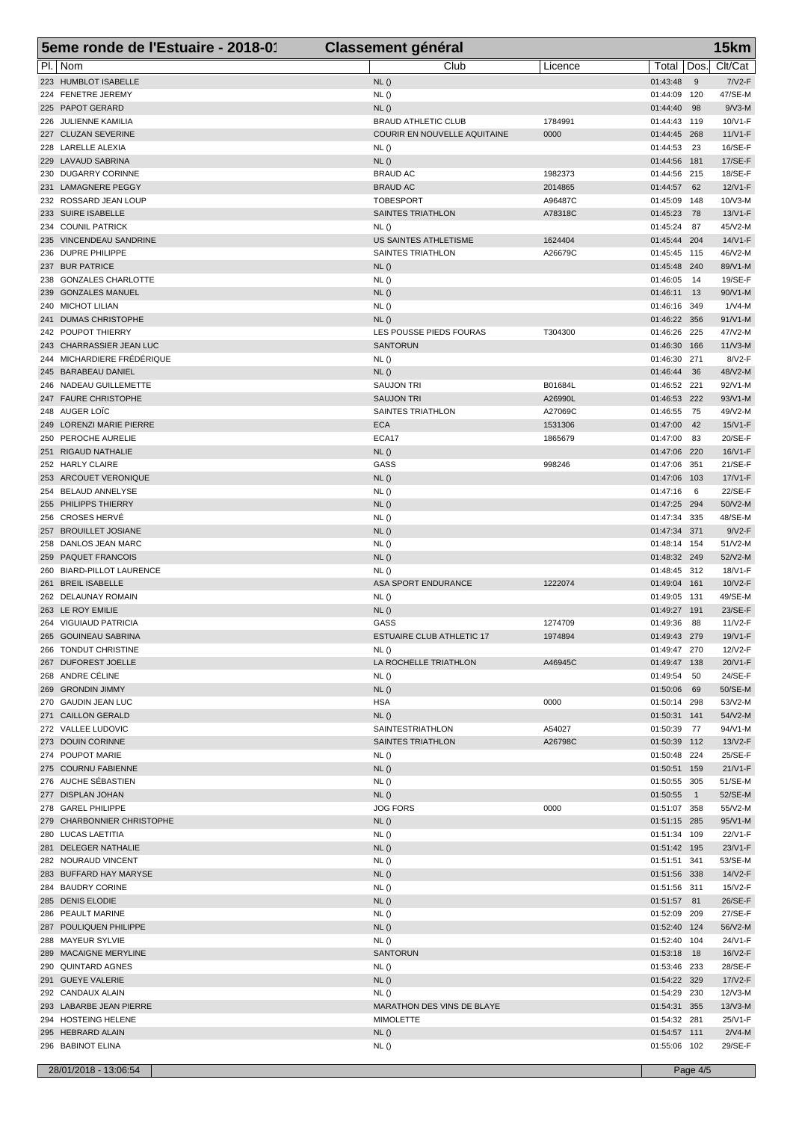| 5eme ronde de l'Estuaire - 2018-01                     | <b>Classement général</b>                                  |                 |                              | 15km                              |  |
|--------------------------------------------------------|------------------------------------------------------------|-----------------|------------------------------|-----------------------------------|--|
| PI.   Nom                                              | Club                                                       | Licence         | Total                        | Clt/Cat<br>Dos.                   |  |
| 223 HUMBLOT ISABELLE                                   | NL()                                                       |                 | 01:43:48                     | $7/V2-F$<br>9                     |  |
| 224 FENETRE JEREMY                                     | NL()                                                       |                 | 01:44:09                     | 47/SE-M<br>120                    |  |
| 225 PAPOT GERARD                                       | NL()                                                       |                 | 01:44:40                     | $9/N3-M$<br>98                    |  |
| 226 JULIENNE KAMILIA<br>227 CLUZAN SEVERINE            | <b>BRAUD ATHLETIC CLUB</b><br>COURIR EN NOUVELLE AQUITAINE | 1784991<br>0000 | 01:44:43 119<br>01:44:45 268 | 10/V1-F<br>$11/N1-F$              |  |
| 228 LARELLE ALEXIA                                     | NL()                                                       |                 | 01:44:53                     | 16/SE-F<br>23                     |  |
| 229 LAVAUD SABRINA                                     | NL()                                                       |                 | 01:44:56 181                 | 17/SE-F                           |  |
| 230 DUGARRY CORINNE                                    | <b>BRAUD AC</b>                                            | 1982373         | 01:44:56 215                 | 18/SE-F                           |  |
| 231 LAMAGNERE PEGGY                                    | <b>BRAUD AC</b>                                            | 2014865         | 01:44:57                     | 62<br>12/V1-F                     |  |
| 232 ROSSARD JEAN LOUP                                  | <b>TOBESPORT</b>                                           | A96487C         | 01:45:09                     | 148<br>$10/N3-M$                  |  |
| 233 SUIRE ISABELLE                                     | SAINTES TRIATHLON                                          | A78318C         | 01:45:23                     | 13/V1-F<br>78                     |  |
| 234 COUNIL PATRICK<br>235 VINCENDEAU SANDRINE          | NL()<br>US SAINTES ATHLETISME                              | 1624404         | 01:45:24<br>01:45:44 204     | 45/V2-M<br>87<br>14/V1-F          |  |
| 236 DUPRE PHILIPPE                                     | SAINTES TRIATHLON                                          | A26679C         | 01:45:45 115                 | 46/V2-M                           |  |
| 237 BUR PATRICE                                        | NL()                                                       |                 | 01:45:48                     | 89/V1-M<br>240                    |  |
| 238 GONZALES CHARLOTTE                                 | NL()                                                       |                 | 01:46:05                     | 19/SE-F<br>- 14                   |  |
| 239 GONZALES MANUEL                                    | NL()                                                       |                 | 01:46:11                     | 90/V1-M<br>13                     |  |
| 240 MICHOT LILIAN                                      | NL()                                                       |                 | 01:46:16 349                 | $1/N4$ -M                         |  |
| 241 DUMAS CHRISTOPHE                                   | NL()                                                       |                 | 01:46:22                     | $91/V1-M$<br>356                  |  |
| 242 POUPOT THIERRY                                     | LES POUSSE PIEDS FOURAS                                    | T304300         | 01:46:26 225                 | 47/V2-M                           |  |
| 243 CHARRASSIER JEAN LUC<br>244 MICHARDIERE FRÉDÉRIQUE | <b>SANTORUN</b><br>NL()                                    |                 | 01:46:30<br>01:46:30         | 166<br>$11/N3-M$<br>8/V2-F<br>271 |  |
| 245 BARABEAU DANIEL                                    | NL()                                                       |                 | 01:46:44                     | 48/V2-M<br>36                     |  |
| 246 NADEAU GUILLEMETTE                                 | <b>SAUJON TRI</b>                                          | B01684L         | 01:46:52                     | 92/V1-M<br>221                    |  |
| 247 FAURE CHRISTOPHE                                   | <b>SAUJON TRI</b>                                          | A26990L         | 01:46:53 222                 | 93/V1-M                           |  |
| 248 AUGER LOIC                                         | SAINTES TRIATHLON                                          | A27069C         | 01:46:55                     | -75<br>49/V2-M                    |  |
| 249 LORENZI MARIE PIERRE                               | <b>ECA</b>                                                 | 1531306         | 01:47:00                     | 42<br>15/V1-F                     |  |
| 250 PEROCHE AURELIE                                    | ECA17                                                      | 1865679         | 01:47:00                     | 20/SE-F<br>83                     |  |
| 251 RIGAUD NATHALIE                                    | NL()                                                       |                 | 01:47:06                     | 220<br>16/V1-F                    |  |
| 252 HARLY CLAIRE                                       | GASS                                                       | 998246          | 01:47:06                     | 21/SE-F<br>351                    |  |
| 253 ARCOUET VERONIQUE<br>254 BELAUD ANNELYSE           | NL()<br>NL()                                               |                 | 01:47:06<br>01:47:16         | 17/V1-F<br>103<br>22/SE-F<br>6    |  |
| 255 PHILIPPS THIERRY                                   | NL()                                                       |                 | 01:47:25 294                 | 50/V2-M                           |  |
| 256 CROSES HERVÉ                                       | NL()                                                       |                 | 01:47:34 335                 | 48/SE-M                           |  |
| 257 BROUILLET JOSIANE                                  | NL()                                                       |                 | 01:47:34 371                 | $9/V2-F$                          |  |
| 258 DANLOS JEAN MARC                                   | NL()                                                       |                 | 01:48:14 154                 | 51/V2-M                           |  |
| 259 PAQUET FRANCOIS                                    | NL()                                                       |                 | 01:48:32 249                 | 52/V2-M                           |  |
| 260 BIARD-PILLOT LAURENCE                              | NL()                                                       |                 | 01:48:45 312                 | 18/V1-F                           |  |
| 261 BREIL ISABELLE                                     | ASA SPORT ENDURANCE                                        | 1222074         | 01:49:04 161                 | 10/V2-F                           |  |
| 262 DELAUNAY ROMAIN<br>263 LE ROY EMILIE               | NL()<br>NL()                                               |                 | 01:49:05<br>01:49:27         | 49/SE-M<br>131<br>23/SE-F<br>191  |  |
| 264 VIGUIAUD PATRICIA                                  | GASS                                                       | 1274709         | 01:49:36                     | 88<br>$11/N2-F$                   |  |
| 265 GOUINEAU SABRINA                                   | <b>ESTUAIRE CLUB ATHLETIC 17</b>                           | 1974894         | 01:49:43 279                 | 19/V1-F                           |  |
| 266 TONDUT CHRISTINE                                   | NL()                                                       |                 | 01:49:47 270                 | 12/V2-F                           |  |
| 267 DUFOREST JOELLE                                    | LA ROCHELLE TRIATHLON                                      | A46945C         | 01:49:47 138                 | 20/V1-F                           |  |
| 268 ANDRE CÉLINE                                       | NL()                                                       |                 | 01:49:54 50                  | 24/SE-F                           |  |
| 269 GRONDIN JIMMY                                      | NL()                                                       |                 | 01:50:06 69                  | 50/SE-M                           |  |
| 270 GAUDIN JEAN LUC                                    | <b>HSA</b>                                                 | 0000            | 01:50:14 298                 | 53/V2-M                           |  |
| 271 CAILLON GERALD<br>272 VALLEE LUDOVIC               | NL()<br>SAINTESTRIATHLON                                   | A54027          | 01:50:31 141<br>01:50:39     | 54/V2-M<br>94/V1-M<br>-77         |  |
| 273 DOUIN CORINNE                                      | SAINTES TRIATHLON                                          | A26798C         | 01:50:39 112                 | 13/V2-F                           |  |
| 274 POUPOT MARIE                                       | NL()                                                       |                 | 01:50:48 224                 | 25/SE-F                           |  |
| 275 COURNU FABIENNE                                    | NL()                                                       |                 | 01:50:51 159                 | 21/V1-F                           |  |
| 276 AUCHE SÉBASTIEN                                    | NL()                                                       |                 | 01:50:55 305                 | 51/SE-M                           |  |
| 277 DISPLAN JOHAN                                      | NL()                                                       |                 | 01:50:55                     | 52/SE-M<br>$\overline{1}$         |  |
| 278 GAREL PHILIPPE                                     | <b>JOG FORS</b>                                            | 0000            | 01:51:07 358                 | 55/V2-M                           |  |
| 279 CHARBONNIER CHRISTOPHE                             | NL()                                                       |                 | 01:51:15 285                 | 95/V1-M                           |  |
| 280 LUCAS LAETITIA<br>281 DELEGER NATHALIE             | NL()<br>NL()                                               |                 | 01:51:34 109<br>01:51:42 195 | 22/V1-F<br>23/V1-F                |  |
| 282 NOURAUD VINCENT                                    | NL()                                                       |                 | 01:51:51 341                 | 53/SE-M                           |  |
| 283 BUFFARD HAY MARYSE                                 | NL()                                                       |                 | 01:51:56 338                 | 14/V2-F                           |  |
| 284 BAUDRY CORINE                                      | NL()                                                       |                 | 01:51:56 311                 | 15/V2-F                           |  |
| 285 DENIS ELODIE                                       | NL()                                                       |                 | 01:51:57 81                  | 26/SE-F                           |  |
| 286 PEAULT MARINE                                      | NL()                                                       |                 | 01:52:09 209                 | 27/SE-F                           |  |
| 287 POULIQUEN PHILIPPE                                 | NL()                                                       |                 | 01:52:40 124                 | 56/V2-M                           |  |
| 288 MAYEUR SYLVIE                                      | NL()                                                       |                 | 01:52:40 104                 | 24/V1-F                           |  |
| 289 MACAIGNE MERYLINE                                  | <b>SANTORUN</b>                                            |                 | 01:53:18 18                  | 16/V2-F                           |  |
| 290 QUINTARD AGNES<br>291 GUEYE VALERIE                | NL()<br>NL()                                               |                 | 01:53:46 233<br>01:54:22 329 | 28/SE-F<br>17/V2-F                |  |
| 292 CANDAUX ALAIN                                      | NL()                                                       |                 | 01:54:29 230                 | 12/V3-M                           |  |
| 293 LABARBE JEAN PIERRE                                | MARATHON DES VINS DE BLAYE                                 |                 | 01:54:31 355                 | 13/V3-M                           |  |
| 294 HOSTEING HELENE                                    | <b>MIMOLETTE</b>                                           |                 | 01:54:32 281                 | 25/V1-F                           |  |
| 295 HEBRARD ALAIN                                      | NL()                                                       |                 | 01:54:57 111                 | $2/N4-M$                          |  |
| 296 BABINOT ELINA                                      | NL()                                                       |                 | 01:55:06 102                 | 29/SE-F                           |  |
| 28/01/2018 - 13:06:54                                  |                                                            |                 |                              | Page 4/5                          |  |